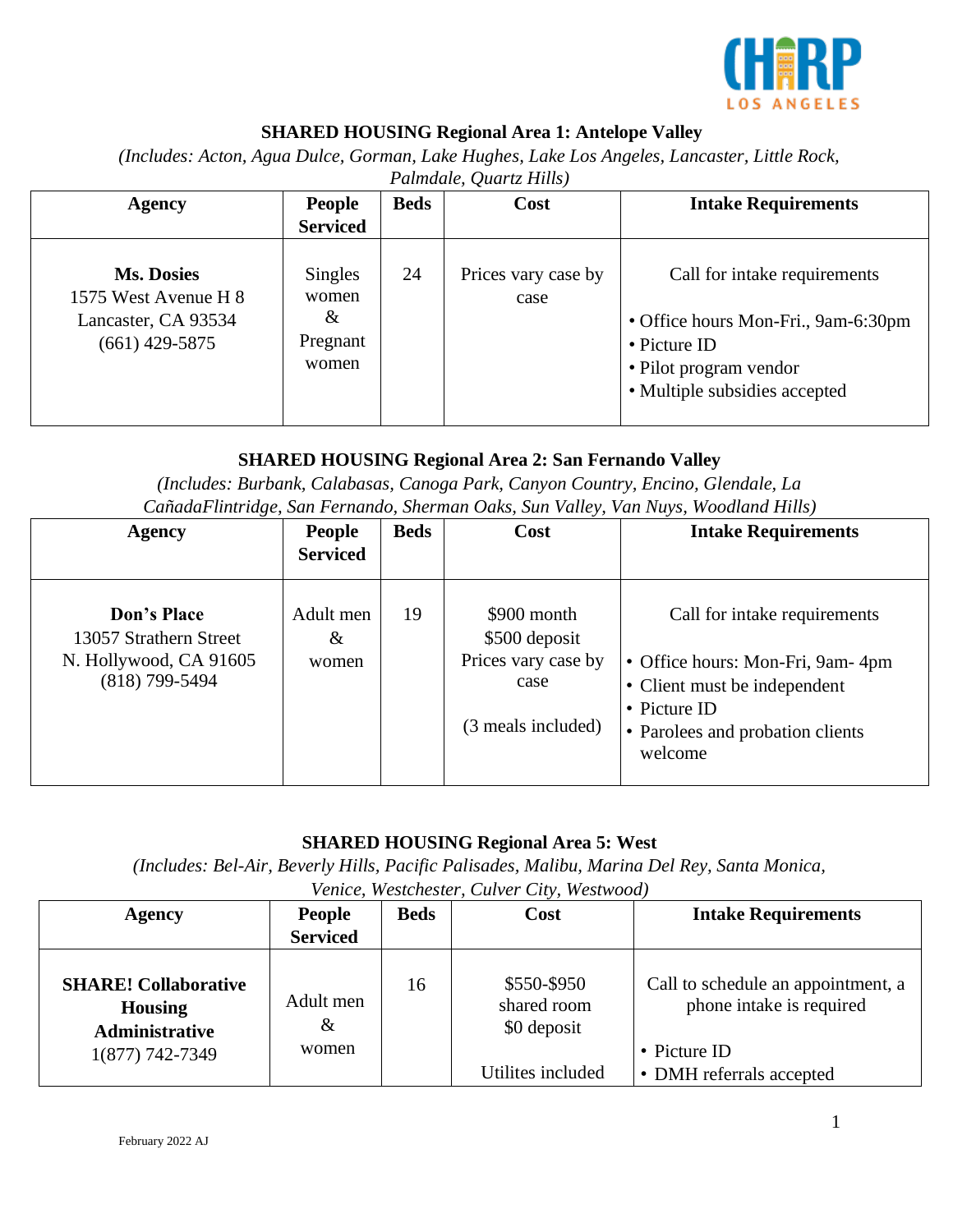

# **SHARED HOUSING Regional Area 1: Antelope Valley**

*(Includes: Acton, Agua Dulce, Gorman, Lake Hughes, Lake Los Angeles, Lancaster, Little Rock,* 

| <b>Agency</b>                                                                        | <b>People</b>                                     | <b>Beds</b> | Cost                        | <b>Intake Requirements</b>                                                                                                                     |  |  |  |
|--------------------------------------------------------------------------------------|---------------------------------------------------|-------------|-----------------------------|------------------------------------------------------------------------------------------------------------------------------------------------|--|--|--|
|                                                                                      | <b>Serviced</b>                                   |             |                             |                                                                                                                                                |  |  |  |
| <b>Ms. Dosies</b><br>1575 West Avenue H 8<br>Lancaster, CA 93534<br>$(661)$ 429-5875 | Singles<br>women<br>$\alpha$<br>Pregnant<br>women | 24          | Prices vary case by<br>case | Call for intake requirements<br>• Office hours Mon-Fri., 9am-6:30pm<br>• Picture ID<br>• Pilot program vendor<br>• Multiple subsidies accepted |  |  |  |

#### *Palmdale, Quartz Hills)*

### **SHARED HOUSING Regional Area 2: San Fernando Valley**

*(Includes: Burbank, Calabasas, Canoga Park, Canyon Country, Encino, Glendale, La CañadaFlintridge, San Fernando, Sherman Oaks, Sun Valley, Van Nuys, Woodland Hills)* 

| Agency                                                                                     | <b>People</b><br><b>Serviced</b> | <b>Beds</b> | Cost                                                                              | <b>Intake Requirements</b>                                                                                                                                      |
|--------------------------------------------------------------------------------------------|----------------------------------|-------------|-----------------------------------------------------------------------------------|-----------------------------------------------------------------------------------------------------------------------------------------------------------------|
| <b>Don's Place</b><br>13057 Strathern Street<br>N. Hollywood, CA 91605<br>$(818)$ 799-5494 | Adult men<br>$\&$<br>women       | 19          | \$900 month<br>\$500 deposit<br>Prices vary case by<br>case<br>(3 meals included) | Call for intake requirements<br>• Office hours: Mon-Fri, 9am-4pm<br>• Client must be independent<br>• Picture ID<br>• Parolees and probation clients<br>welcome |

### **SHARED HOUSING Regional Area 5: West**

*(Includes: Bel-Air, Beverly Hills, Pacific Palisades, Malibu, Marina Del Rey, Santa Monica,* 

*Venice, Westchester, Culver City, Westwood)* 

| Agency                                                                 | <b>People</b><br><b>Serviced</b> | <b>Beds</b> | Cost                                      | <b>Intake Requirements</b>                                     |
|------------------------------------------------------------------------|----------------------------------|-------------|-------------------------------------------|----------------------------------------------------------------|
| <b>SHARE! Collaborative</b><br><b>Housing</b><br><b>Administrative</b> | Adult men<br>$\&$                | 16          | \$550-\$950<br>shared room<br>\$0 deposit | Call to schedule an appointment, a<br>phone intake is required |
| 1(877) 742-7349                                                        | women                            |             |                                           | • Picture ID                                                   |
|                                                                        |                                  |             | Utilites included                         | • DMH referrals accepted                                       |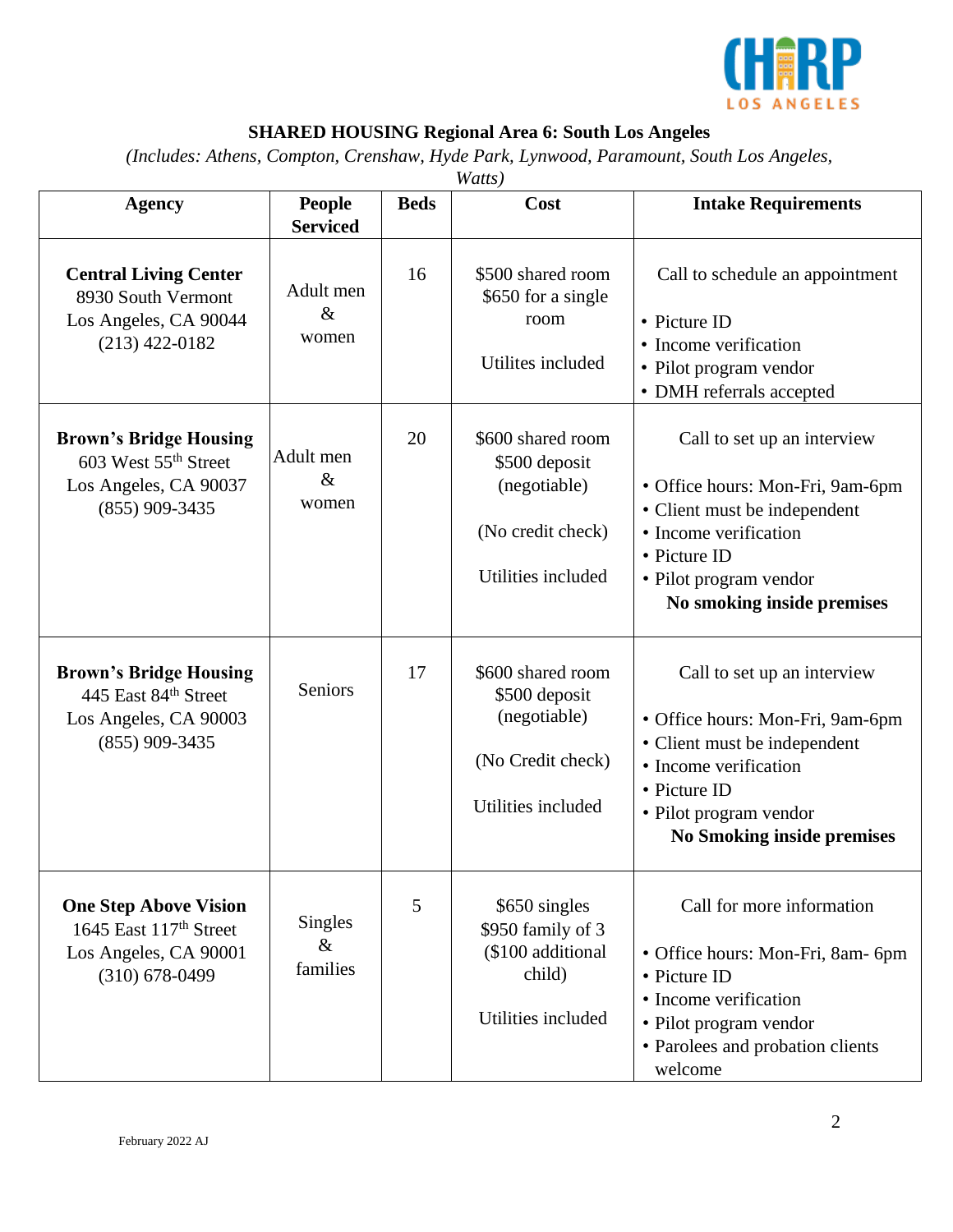

# **SHARED HOUSING Regional Area 6: South Los Angeles**

*(Includes: Athens, Compton, Crenshaw, Hyde Park, Lynwood, Paramount, South Los Angeles,* 

| Watts)                                                                                                            |                                  |             |                                                                                               |                                                                                                                                                                                                         |  |
|-------------------------------------------------------------------------------------------------------------------|----------------------------------|-------------|-----------------------------------------------------------------------------------------------|---------------------------------------------------------------------------------------------------------------------------------------------------------------------------------------------------------|--|
| Agency                                                                                                            | <b>People</b><br><b>Serviced</b> | <b>Beds</b> | Cost                                                                                          | <b>Intake Requirements</b>                                                                                                                                                                              |  |
| <b>Central Living Center</b><br>8930 South Vermont<br>Los Angeles, CA 90044<br>$(213)$ 422-0182                   | Adult men<br>$\&$<br>women       | 16          | \$500 shared room<br>\$650 for a single<br>room<br>Utilites included                          | Call to schedule an appointment<br>• Picture ID<br>• Income verification<br>• Pilot program vendor<br>• DMH referrals accepted                                                                          |  |
| <b>Brown's Bridge Housing</b><br>603 West 55 <sup>th</sup> Street<br>Los Angeles, CA 90037<br>$(855)$ 909-3435    | Adult men<br>$\&$<br>women       | 20          | \$600 shared room<br>\$500 deposit<br>(negotiable)<br>(No credit check)<br>Utilities included | Call to set up an interview<br>• Office hours: Mon-Fri, 9am-6pm<br>• Client must be independent<br>• Income verification<br>• Picture ID<br>• Pilot program vendor<br>No smoking inside premises        |  |
| <b>Brown's Bridge Housing</b><br>445 East 84th Street<br>Los Angeles, CA 90003<br>$(855)$ 909-3435                | <b>Seniors</b>                   | 17          | \$600 shared room<br>\$500 deposit<br>(negotiable)<br>(No Credit check)<br>Utilities included | Call to set up an interview<br>• Office hours: Mon-Fri, 9am-6pm<br>• Client must be independent<br>• Income verification<br>• Picture ID<br>• Pilot program vendor<br><b>No Smoking inside premises</b> |  |
| <b>One Step Above Vision</b><br>1645 East 117 <sup>th</sup> Street<br>Los Angeles, CA 90001<br>$(310) 678 - 0499$ | Singles<br>$\&$<br>families      | 5           | \$650 singles<br>\$950 family of 3<br>(\$100 additional<br>child)<br>Utilities included       | Call for more information<br>• Office hours: Mon-Fri, 8am- 6pm<br>• Picture ID<br>• Income verification<br>• Pilot program vendor<br>• Parolees and probation clients<br>welcome                        |  |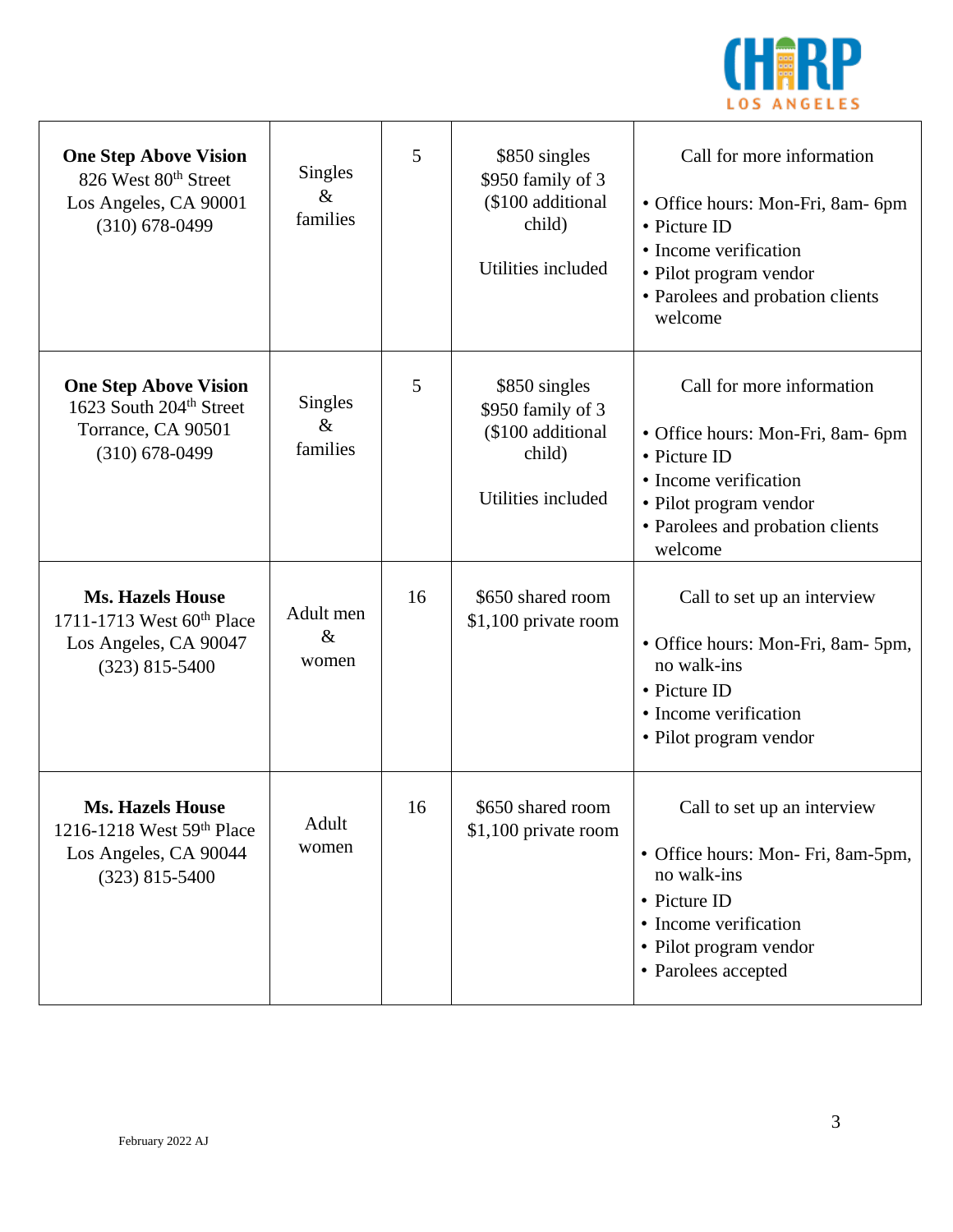

| <b>One Step Above Vision</b><br>826 West 80 <sup>th</sup> Street<br>Los Angeles, CA 90001<br>$(310)$ 678-0499 | Singles<br>$\&$<br>families        | 5  | \$850 singles<br>\$950 family of 3<br>(\$100 additional<br>child)<br>Utilities included | Call for more information<br>• Office hours: Mon-Fri, 8am- 6pm<br>• Picture ID<br>• Income verification<br>• Pilot program vendor<br>• Parolees and probation clients<br>welcome |
|---------------------------------------------------------------------------------------------------------------|------------------------------------|----|-----------------------------------------------------------------------------------------|----------------------------------------------------------------------------------------------------------------------------------------------------------------------------------|
| <b>One Step Above Vision</b><br>1623 South 204 <sup>th</sup> Street<br>Torrance, CA 90501<br>$(310)$ 678-0499 | <b>Singles</b><br>$\&$<br>families | 5  | \$850 singles<br>\$950 family of 3<br>(\$100 additional<br>child)<br>Utilities included | Call for more information<br>• Office hours: Mon-Fri, 8am- 6pm<br>• Picture ID<br>• Income verification<br>• Pilot program vendor<br>• Parolees and probation clients<br>welcome |
| <b>Ms. Hazels House</b><br>1711-1713 West 60th Place<br>Los Angeles, CA 90047<br>$(323)$ 815-5400             | Adult men<br>$\&$<br>women         | 16 | \$650 shared room<br>\$1,100 private room                                               | Call to set up an interview<br>• Office hours: Mon-Fri, 8am- 5pm,<br>no walk-ins<br>• Picture ID<br>• Income verification<br>• Pilot program vendor                              |
| <b>Ms. Hazels House</b><br>1216-1218 West $59th$ Place<br>Los Angeles, CA 90044<br>$(323)$ 815-5400           | Adult<br>women                     | 16 | \$650 shared room<br>\$1,100 private room                                               | Call to set up an interview<br>• Office hours: Mon-Fri, 8am-5pm,<br>no walk-ins<br>• Picture ID<br>• Income verification<br>• Pilot program vendor<br>• Parolees accepted        |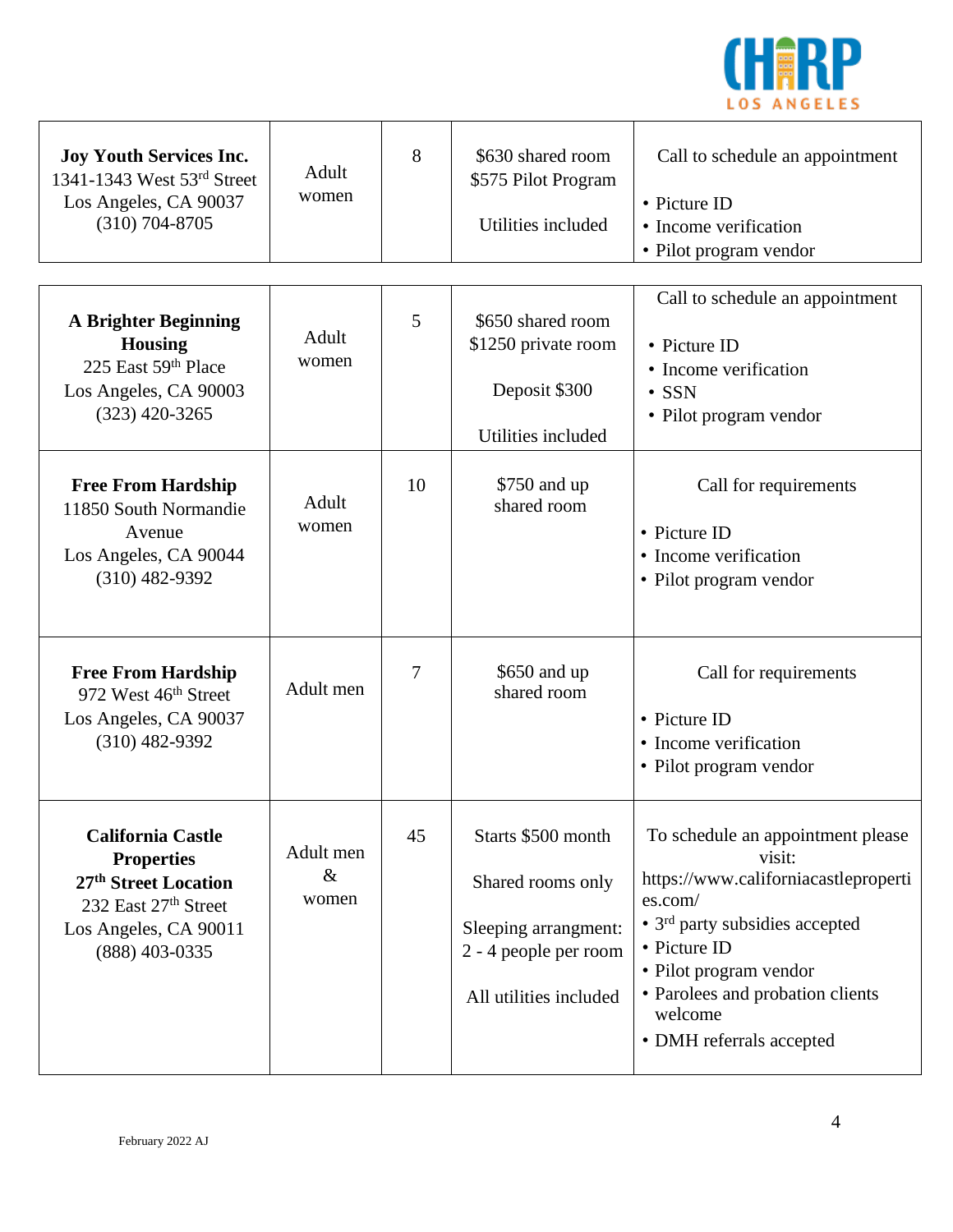

| <b>Joy Youth Services Inc.</b><br>1341-1343 West 53rd Street<br>Los Angeles, CA 90037<br>$(310) 704 - 8705$                                          | Adult<br>women             | 8  | \$630 shared room<br>\$575 Pilot Program<br>Utilities included                                                     | Call to schedule an appointment<br>• Picture ID<br>• Income verification<br>• Pilot program vendor                                                                                                                                                                |
|------------------------------------------------------------------------------------------------------------------------------------------------------|----------------------------|----|--------------------------------------------------------------------------------------------------------------------|-------------------------------------------------------------------------------------------------------------------------------------------------------------------------------------------------------------------------------------------------------------------|
| <b>A Brighter Beginning</b><br><b>Housing</b><br>225 East 59th Place<br>Los Angeles, CA 90003<br>$(323)$ 420-3265                                    | Adult<br>women             | 5  | \$650 shared room<br>\$1250 private room<br>Deposit \$300<br>Utilities included                                    | Call to schedule an appointment<br>• Picture ID<br>• Income verification<br>$\cdot$ SSN<br>• Pilot program vendor                                                                                                                                                 |
| <b>Free From Hardship</b><br>11850 South Normandie<br>Avenue<br>Los Angeles, CA 90044<br>$(310)$ 482-9392                                            | Adult<br>women             | 10 | \$750 and up<br>shared room                                                                                        | Call for requirements<br>• Picture ID<br>• Income verification<br>• Pilot program vendor                                                                                                                                                                          |
| <b>Free From Hardship</b><br>972 West 46th Street<br>Los Angeles, CA 90037<br>$(310)$ 482-9392                                                       | Adult men                  | 7  | \$650 and up<br>shared room                                                                                        | Call for requirements<br>• Picture ID<br>• Income verification<br>• Pilot program vendor                                                                                                                                                                          |
| <b>California Castle</b><br><b>Properties</b><br>27 <sup>th</sup> Street Location<br>232 East 27th Street<br>Los Angeles, CA 90011<br>(888) 403-0335 | Adult men<br>$\&$<br>women | 45 | Starts \$500 month<br>Shared rooms only<br>Sleeping arrangment:<br>2 - 4 people per room<br>All utilities included | To schedule an appointment please<br>visit:<br>https://www.californiacastleproperti<br>es.com/<br>• 3 <sup>rd</sup> party subsidies accepted<br>• Picture ID<br>• Pilot program vendor<br>• Parolees and probation clients<br>welcome<br>• DMH referrals accepted |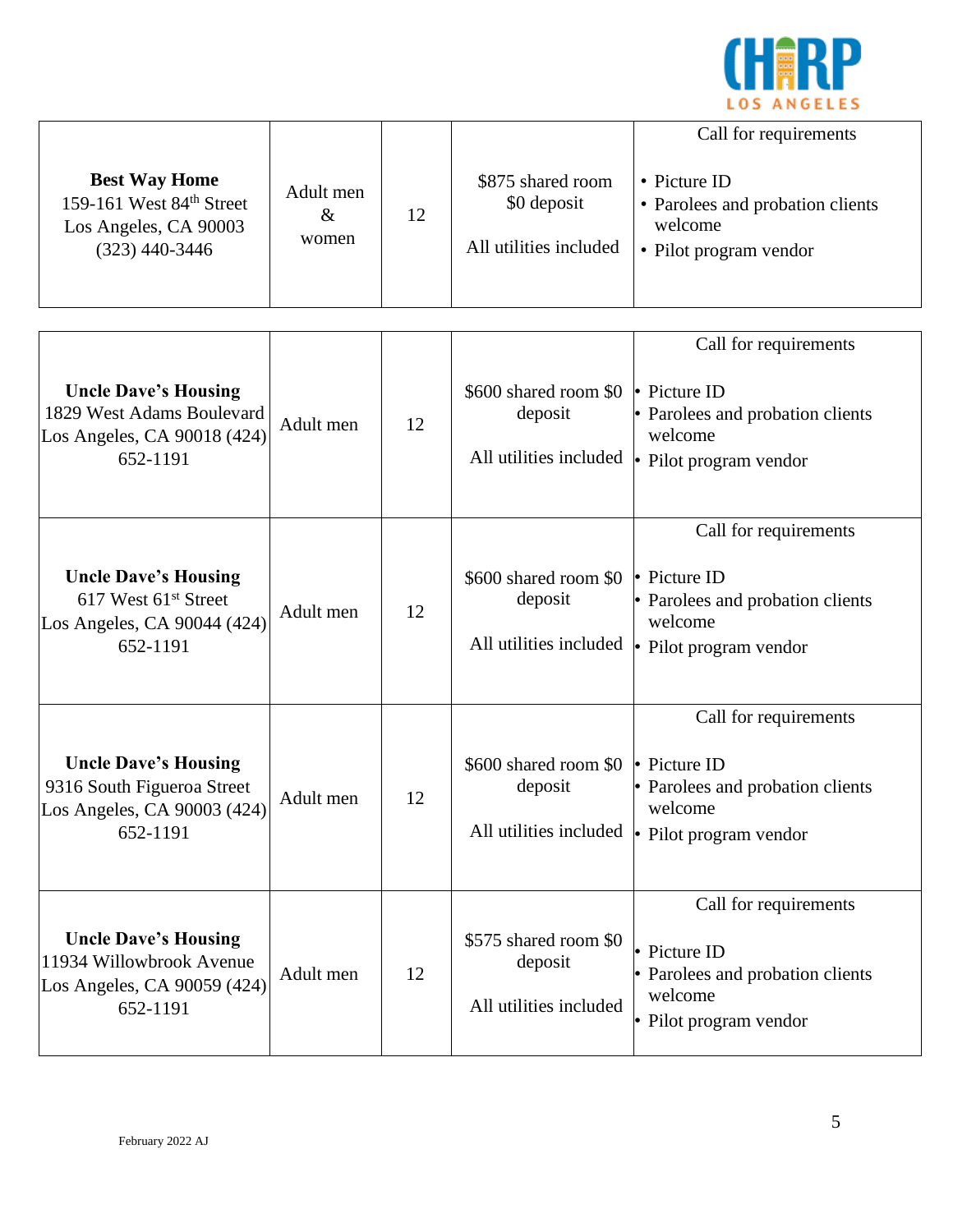

| <b>Best Way Home</b><br>159-161 West 84th Street<br>Los Angeles, CA 90003<br>$(323)$ 440-3446              | Adult men<br>$\&$<br>women | 12 | \$875 shared room<br>\$0 deposit<br>All utilities included | Call for requirements<br>• Picture ID<br>• Parolees and probation clients<br>welcome<br>• Pilot program vendor              |
|------------------------------------------------------------------------------------------------------------|----------------------------|----|------------------------------------------------------------|-----------------------------------------------------------------------------------------------------------------------------|
| <b>Uncle Dave's Housing</b><br>1829 West Adams Boulevard<br>Los Angeles, CA 90018 (424)<br>652-1191        | Adult men                  | 12 | \$600 shared room \$0 • Picture ID<br>deposit              | Call for requirements<br>• Parolees and probation clients<br>welcome<br>All utilities included $\cdot$ Pilot program vendor |
| <b>Uncle Dave's Housing</b><br>617 West 61 <sup>st</sup> Street<br>Los Angeles, CA 90044 (424)<br>652-1191 | Adult men                  | 12 | \$600 shared room \$0 • Picture ID<br>deposit              | Call for requirements<br>• Parolees and probation clients<br>welcome<br>All utilities included $\cdot$ Pilot program vendor |
| <b>Uncle Dave's Housing</b><br>9316 South Figueroa Street<br>Los Angeles, CA 90003 (424)<br>652-1191       | Adult men                  | 12 | \$600 shared room \$0 • Picture ID<br>deposit              | Call for requirements<br>• Parolees and probation clients<br>welcome<br>All utilities included • Pilot program vendor       |
| <b>Uncle Dave's Housing</b><br>11934 Willowbrook Avenue<br>Los Angeles, CA 90059 (424)<br>652-1191         | Adult men                  | 12 | \$575 shared room \$0<br>deposit<br>All utilities included | Call for requirements<br>• Picture ID<br>• Parolees and probation clients<br>welcome<br>• Pilot program vendor              |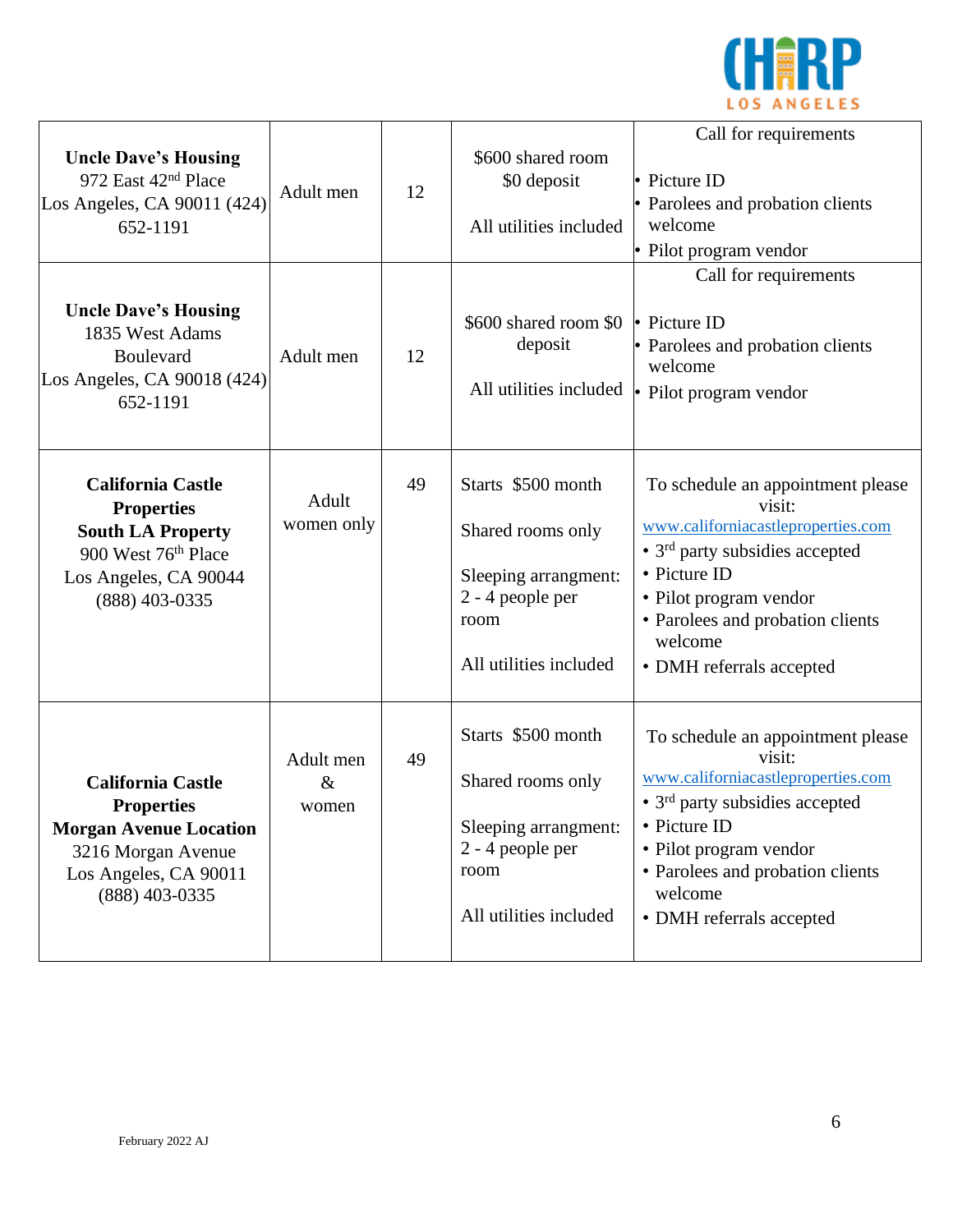

| <b>Uncle Dave's Housing</b><br>972 East 42 <sup>nd</sup> Place<br>Los Angeles, CA 90011 (424)<br>652-1191                                               | Adult men                  | 12 | \$600 shared room<br>\$0 deposit<br>All utilities included                                                            | Call for requirements<br>• Picture ID<br>• Parolees and probation clients<br>welcome<br>· Pilot program vendor                                                                                                                                             |
|---------------------------------------------------------------------------------------------------------------------------------------------------------|----------------------------|----|-----------------------------------------------------------------------------------------------------------------------|------------------------------------------------------------------------------------------------------------------------------------------------------------------------------------------------------------------------------------------------------------|
| <b>Uncle Dave's Housing</b><br>1835 West Adams<br>Boulevard<br>Los Angeles, CA 90018 (424)<br>652-1191                                                  | Adult men                  | 12 | \$600 shared room \$0<br>deposit<br>All utilities included                                                            | Call for requirements<br>$\cdot$ Picture ID<br>• Parolees and probation clients<br>welcome<br>• Pilot program vendor                                                                                                                                       |
| <b>California Castle</b><br><b>Properties</b><br><b>South LA Property</b><br>900 West 76 <sup>th</sup> Place<br>Los Angeles, CA 90044<br>(888) 403-0335 | Adult<br>women only        | 49 | Starts \$500 month<br>Shared rooms only<br>Sleeping arrangment:<br>2 - 4 people per<br>room<br>All utilities included | To schedule an appointment please<br>visit:<br>www.californiacastleproperties.com<br>• 3 <sup>rd</sup> party subsidies accepted<br>• Picture ID<br>• Pilot program vendor<br>• Parolees and probation clients<br>welcome<br>• DMH referrals accepted       |
| <b>California Castle</b><br><b>Properties</b><br><b>Morgan Avenue Location</b><br>3216 Morgan Avenue<br>Los Angeles, CA 90011<br>(888) 403-0335         | Adult men<br>$\&$<br>women | 49 | Starts \$500 month<br>Shared rooms only<br>Sleeping arrangment:<br>2 - 4 people per<br>room<br>All utilities included | To schedule an appointment please<br>visit:<br>www.californiacastleproperties.com<br>$\cdot$ 3 <sup>rd</sup> party subsidies accepted<br>• Picture ID<br>• Pilot program vendor<br>• Parolees and probation clients<br>welcome<br>• DMH referrals accepted |